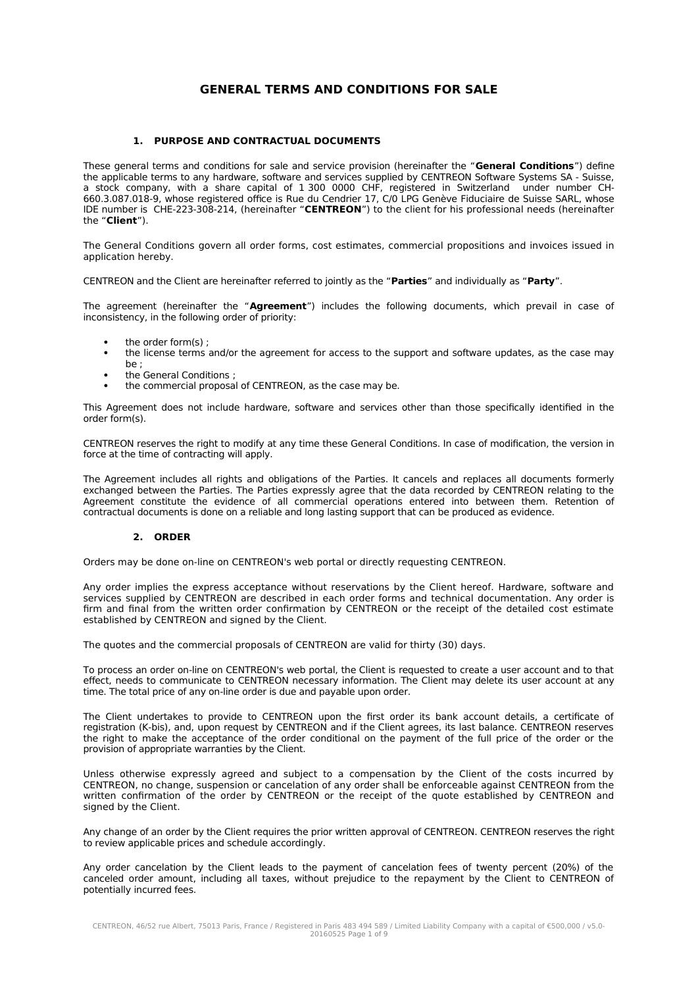# **GENERAL TERMS AND CONDITIONS FOR SALE**

### **1. PURPOSE AND CONTRACTUAL DOCUMENTS**

These general terms and conditions for sale and service provision (hereinafter the "**General Conditions**") define the applicable terms to any hardware, software and services supplied by CENTREON Software Systems SA - Suisse, a stock company, with a share capital of 1 300 0000 CHF, registered in Switzerland under number CH-660.3.087.018-9, whose registered office is Rue du Cendrier 17, C/0 LPG Genève Fiduciaire de Suisse SARL, whose IDE number is CHE-223-308-214, (hereinafter "**CENTREON**") to the client for his professional needs (hereinafter the "**Client**").

The General Conditions govern all order forms, cost estimates, commercial propositions and invoices issued in application hereby.

CENTREON and the Client are hereinafter referred to jointly as the "**Parties**" and individually as "**Party**".

The agreement (hereinafter the "**Agreement**") includes the following documents, which prevail in case of inconsistency, in the following order of priority:

- the order form(s) ;
- the license terms and/or the agreement for access to the support and software updates, as the case may be ;
- the General Conditions ;
- the commercial proposal of CENTREON, as the case may be.

This Agreement does not include hardware, software and services other than those specifically identified in the order form(s).

CENTREON reserves the right to modify at any time these General Conditions. In case of modification, the version in force at the time of contracting will apply.

The Agreement includes all rights and obligations of the Parties. It cancels and replaces all documents formerly exchanged between the Parties. The Parties expressly agree that the data recorded by CENTREON relating to the Agreement constitute the evidence of all commercial operations entered into between them. Retention of contractual documents is done on a reliable and long lasting support that can be produced as evidence.

## **2. ORDER**

Orders may be done on-line on CENTREON's web portal or directly requesting CENTREON.

Any order implies the express acceptance without reservations by the Client hereof. Hardware, software and services supplied by CENTREON are described in each order forms and technical documentation. Any order is firm and final from the written order confirmation by CENTREON or the receipt of the detailed cost estimate established by CENTREON and signed by the Client.

The quotes and the commercial proposals of CENTREON are valid for thirty (30) days.

To process an order on-line on CENTREON's web portal, the Client is requested to create a user account and to that effect, needs to communicate to CENTREON necessary information. The Client may delete its user account at any time. The total price of any on-line order is due and payable upon order.

The Client undertakes to provide to CENTREON upon the first order its bank account details, a certificate of registration (K-bis), and, upon request by CENTREON and if the Client agrees, its last balance. CENTREON reserves the right to make the acceptance of the order conditional on the payment of the full price of the order or the provision of appropriate warranties by the Client.

Unless otherwise expressly agreed and subject to a compensation by the Client of the costs incurred by CENTREON, no change, suspension or cancelation of any order shall be enforceable against CENTREON from the written confirmation of the order by CENTREON or the receipt of the quote established by CENTREON and signed by the Client.

Any change of an order by the Client requires the prior written approval of CENTREON. CENTREON reserves the right to review applicable prices and schedule accordingly.

Any order cancelation by the Client leads to the payment of cancelation fees of twenty percent (20%) of the canceled order amount, including all taxes, without prejudice to the repayment by the Client to CENTREON of potentially incurred fees.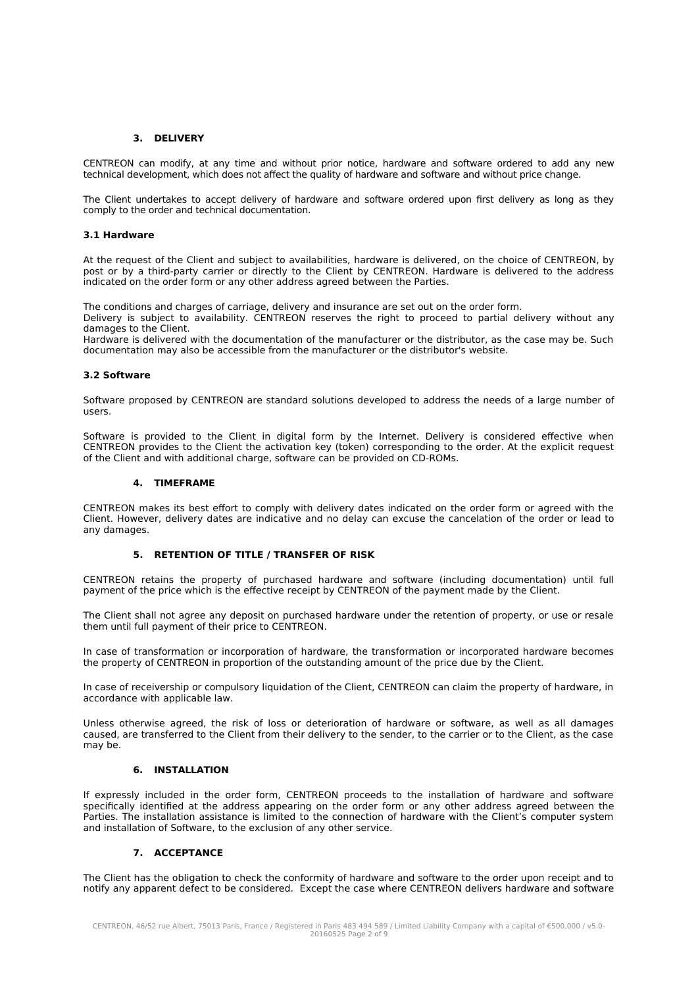### **3. DELIVERY**

CENTREON can modify, at any time and without prior notice, hardware and software ordered to add any new technical development, which does not affect the quality of hardware and software and without price change.

The Client undertakes to accept delivery of hardware and software ordered upon first delivery as long as they comply to the order and technical documentation.

#### **3.1 Hardware**

At the request of the Client and subject to availabilities, hardware is delivered, on the choice of CENTREON, by post or by a third-party carrier or directly to the Client by CENTREON. Hardware is delivered to the address indicated on the order form or any other address agreed between the Parties.

The conditions and charges of carriage, delivery and insurance are set out on the order form.

Delivery is subject to availability. CENTREON reserves the right to proceed to partial delivery without any damages to the Client.

Hardware is delivered with the documentation of the manufacturer or the distributor, as the case may be. Such documentation may also be accessible from the manufacturer or the distributor's website.

## **3.2 Software**

Software proposed by CENTREON are standard solutions developed to address the needs of a large number of users.

Software is provided to the Client in digital form by the Internet. Delivery is considered effective when CENTREON provides to the Client the activation key (token) corresponding to the order. At the explicit request of the Client and with additional charge, software can be provided on CD-ROMs.

#### **4. TIMEFRAME**

CENTREON makes its best effort to comply with delivery dates indicated on the order form or agreed with the Client. However, delivery dates are indicative and no delay can excuse the cancelation of the order or lead to any damages.

## **5. RETENTION OF TITLE / TRANSFER OF RISK**

CENTREON retains the property of purchased hardware and software (including documentation) until full payment of the price which is the effective receipt by CENTREON of the payment made by the Client.

The Client shall not agree any deposit on purchased hardware under the retention of property, or use or resale them until full payment of their price to CENTREON.

In case of transformation or incorporation of hardware, the transformation or incorporated hardware becomes the property of CENTREON in proportion of the outstanding amount of the price due by the Client.

In case of receivership or compulsory liquidation of the Client, CENTREON can claim the property of hardware, in accordance with applicable law.

Unless otherwise agreed, the risk of loss or deterioration of hardware or software, as well as all damages caused, are transferred to the Client from their delivery to the sender, to the carrier or to the Client, as the case may be.

## **6. INSTALLATION**

If expressly included in the order form, CENTREON proceeds to the installation of hardware and software specifically identified at the address appearing on the order form or any other address agreed between the Parties. The installation assistance is limited to the connection of hardware with the Client's computer system and installation of Software, to the exclusion of any other service.

## **7. ACCEPTANCE**

The Client has the obligation to check the conformity of hardware and software to the order upon receipt and to notify any apparent defect to be considered. Except the case where CENTREON delivers hardware and software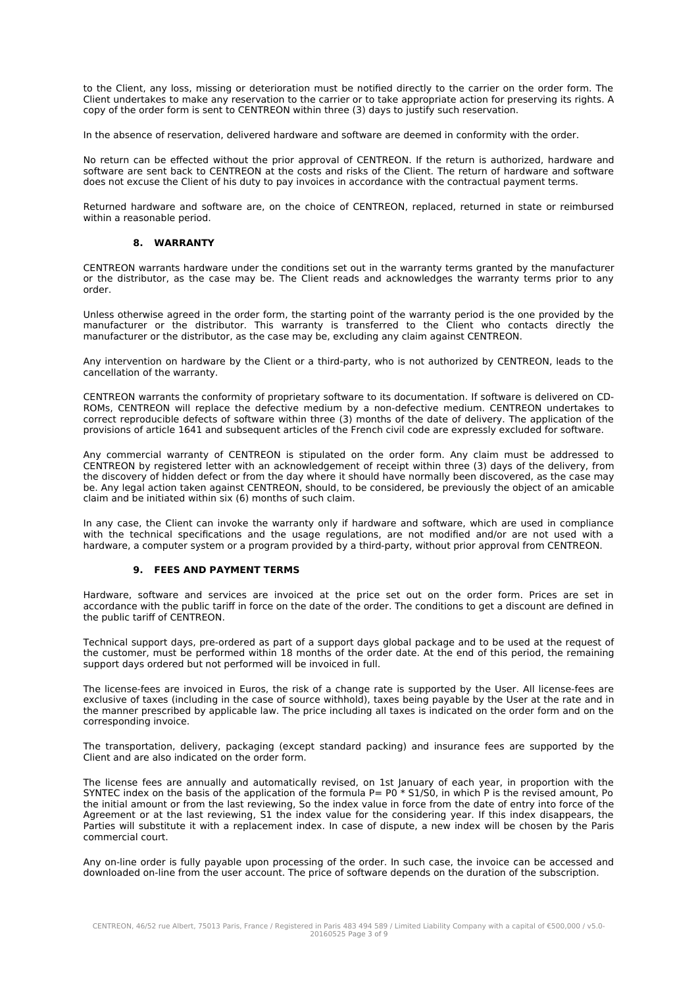to the Client, any loss, missing or deterioration must be notified directly to the carrier on the order form. The Client undertakes to make any reservation to the carrier or to take appropriate action for preserving its rights. A copy of the order form is sent to CENTREON within three (3) days to justify such reservation.

In the absence of reservation, delivered hardware and software are deemed in conformity with the order.

No return can be effected without the prior approval of CENTREON. If the return is authorized, hardware and software are sent back to CENTREON at the costs and risks of the Client. The return of hardware and software does not excuse the Client of his duty to pay invoices in accordance with the contractual payment terms.

Returned hardware and software are, on the choice of CENTREON, replaced, returned in state or reimbursed within a reasonable period.

#### **8. WARRANTY**

CENTREON warrants hardware under the conditions set out in the warranty terms granted by the manufacturer or the distributor, as the case may be. The Client reads and acknowledges the warranty terms prior to any order.

Unless otherwise agreed in the order form, the starting point of the warranty period is the one provided by the manufacturer or the distributor. This warranty is transferred to the Client who contacts directly the manufacturer or the distributor, as the case may be, excluding any claim against CENTREON.

Any intervention on hardware by the Client or a third-party, who is not authorized by CENTREON, leads to the cancellation of the warranty.

CENTREON warrants the conformity of proprietary software to its documentation. If software is delivered on CD-ROMs, CENTREON will replace the defective medium by a non-defective medium. CENTREON undertakes to correct reproducible defects of software within three (3) months of the date of delivery. The application of the provisions of article 1641 and subsequent articles of the French civil code are expressly excluded for software.

Any commercial warranty of CENTREON is stipulated on the order form. Any claim must be addressed to CENTREON by registered letter with an acknowledgement of receipt within three (3) days of the delivery, from the discovery of hidden defect or from the day where it should have normally been discovered, as the case may be. Any legal action taken against CENTREON, should, to be considered, be previously the object of an amicable claim and be initiated within six (6) months of such claim.

In any case, the Client can invoke the warranty only if hardware and software, which are used in compliance with the technical specifications and the usage regulations, are not modified and/or are not used with a hardware, a computer system or a program provided by a third-party, without prior approval from CENTREON.

## **9. FEES AND PAYMENT TERMS**

Hardware, software and services are invoiced at the price set out on the order form. Prices are set in accordance with the public tariff in force on the date of the order. The conditions to get a discount are defined in the public tariff of CENTREON.

Technical support days, pre-ordered as part of a support days global package and to be used at the request of the customer, must be performed within 18 months of the order date. At the end of this period, the remaining support days ordered but not performed will be invoiced in full.

The license-fees are invoiced in Euros, the risk of a change rate is supported by the User. All license-fees are exclusive of taxes (including in the case of source withhold), taxes being payable by the User at the rate and in the manner prescribed by applicable law. The price including all taxes is indicated on the order form and on the corresponding invoice.

The transportation, delivery, packaging (except standard packing) and insurance fees are supported by the Client and are also indicated on the order form.

The license fees are annually and automatically revised, on 1st January of each year, in proportion with the SYNTEC index on the basis of the application of the formula P= P0 \* S1/S0, in which P is the revised amount, Po the initial amount or from the last reviewing, So the index value in force from the date of entry into force of the Agreement or at the last reviewing, S1 the index value for the considering year. If this index disappears, the Parties will substitute it with a replacement index. In case of dispute, a new index will be chosen by the Paris commercial court.

Any on-line order is fully payable upon processing of the order. In such case, the invoice can be accessed and downloaded on-line from the user account. The price of software depends on the duration of the subscription.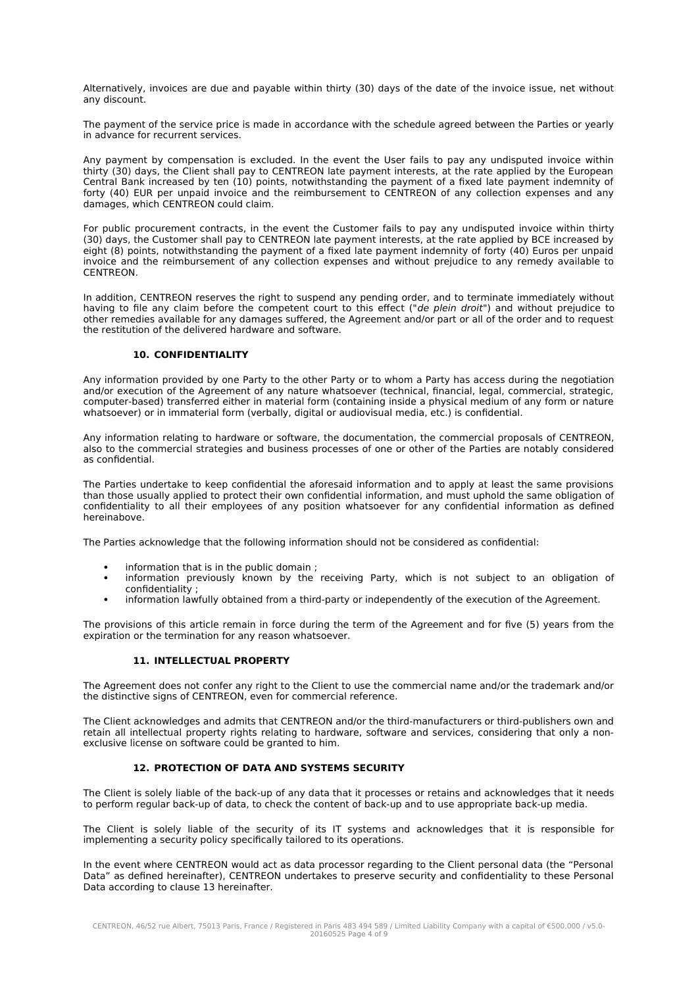Alternatively, invoices are due and payable within thirty (30) days of the date of the invoice issue, net without any discount.

The payment of the service price is made in accordance with the schedule agreed between the Parties or yearly in advance for recurrent services.

Any payment by compensation is excluded. In the event the User fails to pay any undisputed invoice within thirty (30) days, the Client shall pay to CENTREON late payment interests, at the rate applied by the European Central Bank increased by ten (10) points, notwithstanding the payment of a fixed late payment indemnity of forty (40) EUR per unpaid invoice and the reimbursement to CENTREON of any collection expenses and any damages, which CENTREON could claim.

For public procurement contracts, in the event the Customer fails to pay any undisputed invoice within thirty (30) days, the Customer shall pay to CENTREON late payment interests, at the rate applied by BCE increased by eight (8) points, notwithstanding the payment of a fixed late payment indemnity of forty (40) Euros per unpaid invoice and the reimbursement of any collection expenses and without prejudice to any remedy available to CENTREON.

In addition, CENTREON reserves the right to suspend any pending order, and to terminate immediately without having to file any claim before the competent court to this effect ("de plein droit") and without prejudice to other remedies available for any damages suffered, the Agreement and/or part or all of the order and to request the restitution of the delivered hardware and software.

## **10. CONFIDENTIALITY**

Any information provided by one Party to the other Party or to whom a Party has access during the negotiation and/or execution of the Agreement of any nature whatsoever (technical, financial, legal, commercial, strategic, computer-based) transferred either in material form (containing inside a physical medium of any form or nature whatsoever) or in immaterial form (verbally, digital or audiovisual media, etc.) is confidential.

Any information relating to hardware or software, the documentation, the commercial proposals of CENTREON, also to the commercial strategies and business processes of one or other of the Parties are notably considered as confidential.

The Parties undertake to keep confidential the aforesaid information and to apply at least the same provisions than those usually applied to protect their own confidential information, and must uphold the same obligation of confidentiality to all their employees of any position whatsoever for any confidential information as defined hereinabove.

The Parties acknowledge that the following information should not be considered as confidential:

- information that is in the public domain ;
- information previously known by the receiving Party, which is not subject to an obligation of confidentiality ;
- information lawfully obtained from a third-party or independently of the execution of the Agreement.

The provisions of this article remain in force during the term of the Agreement and for five (5) years from the expiration or the termination for any reason whatsoever.

## **11. INTELLECTUAL PROPERTY**

The Agreement does not confer any right to the Client to use the commercial name and/or the trademark and/or the distinctive signs of CENTREON, even for commercial reference.

The Client acknowledges and admits that CENTREON and/or the third-manufacturers or third-publishers own and retain all intellectual property rights relating to hardware, software and services, considering that only a nonexclusive license on software could be granted to him.

## **12. PROTECTION OF DATA AND SYSTEMS SECURITY**

The Client is solely liable of the back-up of any data that it processes or retains and acknowledges that it needs to perform regular back-up of data, to check the content of back-up and to use appropriate back-up media.

The Client is solely liable of the security of its IT systems and acknowledges that it is responsible for implementing a security policy specifically tailored to its operations.

In the event where CENTREON would act as data processor regarding to the Client personal data (the "Personal Data" as defined hereinafter), CENTREON undertakes to preserve security and confidentiality to these Personal Data according to clause 13 hereinafter.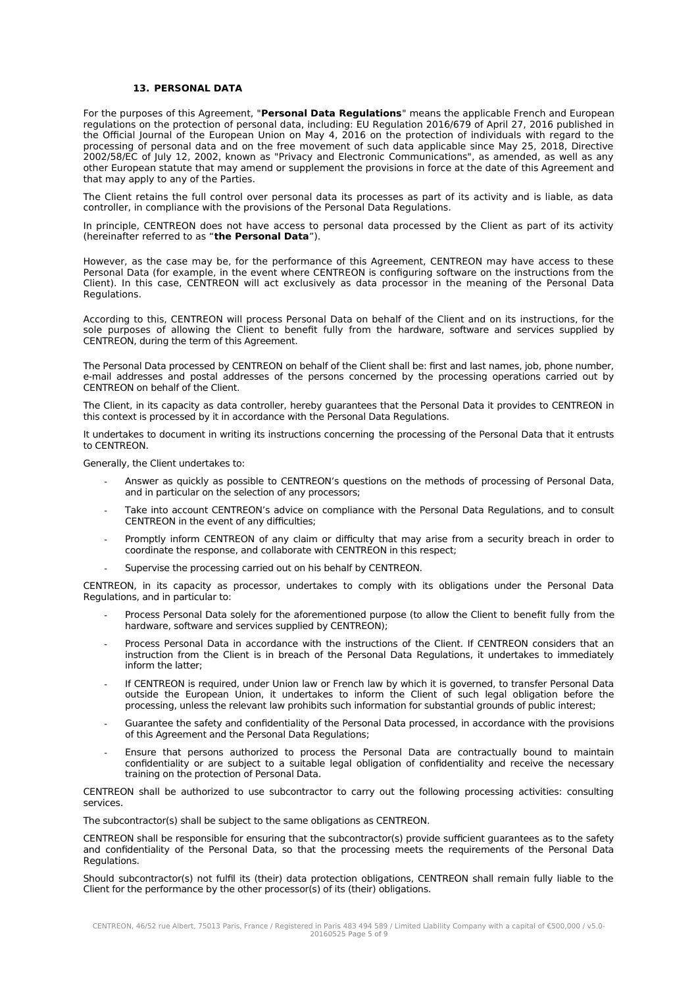#### **13. PERSONAL DATA**

For the purposes of this Agreement, "**Personal Data Regulations**" means the applicable French and European regulations on the protection of personal data, including: EU Regulation 2016/679 of April 27, 2016 published in the Official Journal of the European Union on May 4, 2016 on the protection of individuals with regard to the processing of personal data and on the free movement of such data applicable since May 25, 2018, Directive 2002/58/EC of July 12, 2002, known as "Privacy and Electronic Communications", as amended, as well as any other European statute that may amend or supplement the provisions in force at the date of this Agreement and that may apply to any of the Parties.

The Client retains the full control over personal data its processes as part of its activity and is liable, as data controller, in compliance with the provisions of the Personal Data Regulations.

In principle, CENTREON does not have access to personal data processed by the Client as part of its activity (hereinafter referred to as "**the Personal Data**").

However, as the case may be, for the performance of this Agreement, CENTREON may have access to these Personal Data (for example, in the event where CENTREON is configuring software on the instructions from the Client). In this case, CENTREON will act exclusively as data processor in the meaning of the Personal Data Regulations.

According to this, CENTREON will process Personal Data on behalf of the Client and on its instructions, for the sole purposes of allowing the Client to benefit fully from the hardware, software and services supplied by CENTREON, during the term of this Agreement.

The Personal Data processed by CENTREON on behalf of the Client shall be: first and last names, job, phone number, e-mail addresses and postal addresses of the persons concerned by the processing operations carried out by CENTREON on behalf of the Client.

The Client, in its capacity as data controller, hereby guarantees that the Personal Data it provides to CENTREON in this context is processed by it in accordance with the Personal Data Regulations.

It undertakes to document in writing its instructions concerning the processing of the Personal Data that it entrusts to CENTREON.

Generally, the Client undertakes to:

- Answer as quickly as possible to CENTREON's questions on the methods of processing of Personal Data, and in particular on the selection of any processors;
- Take into account CENTREON's advice on compliance with the Personal Data Regulations, and to consult CENTREON in the event of any difficulties;
- Promptly inform CENTREON of any claim or difficulty that may arise from a security breach in order to coordinate the response, and collaborate with CENTREON in this respect;
- Supervise the processing carried out on his behalf by CENTREON.

CENTREON, in its capacity as processor, undertakes to comply with its obligations under the Personal Data Regulations, and in particular to:

- Process Personal Data solely for the aforementioned purpose (to allow the Client to benefit fully from the hardware, software and services supplied by CENTREON);
- Process Personal Data in accordance with the instructions of the Client. If CENTREON considers that an instruction from the Client is in breach of the Personal Data Regulations, it undertakes to immediately inform the latter;
- If CENTREON is required, under Union law or French law by which it is governed, to transfer Personal Data outside the European Union, it undertakes to inform the Client of such legal obligation before the processing, unless the relevant law prohibits such information for substantial grounds of public interest;
- Guarantee the safety and confidentiality of the Personal Data processed, in accordance with the provisions of this Agreement and the Personal Data Regulations;
- Ensure that persons authorized to process the Personal Data are contractually bound to maintain confidentiality or are subject to a suitable legal obligation of confidentiality and receive the necessary training on the protection of Personal Data.

CENTREON shall be authorized to use subcontractor to carry out the following processing activities: consulting services.

The subcontractor(s) shall be subject to the same obligations as CENTREON.

CENTREON shall be responsible for ensuring that the subcontractor(s) provide sufficient guarantees as to the safety and confidentiality of the Personal Data, so that the processing meets the requirements of the Personal Data Regulations.

Should subcontractor(s) not fulfil its (their) data protection obligations, CENTREON shall remain fully liable to the Client for the performance by the other processor(s) of its (their) obligations.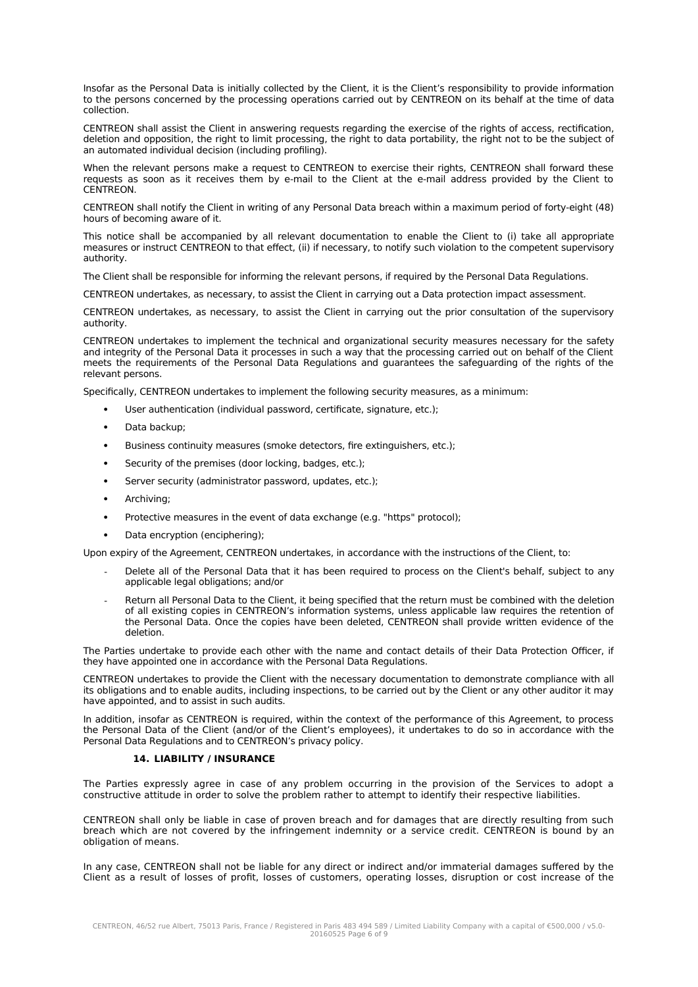Insofar as the Personal Data is initially collected by the Client, it is the Client's responsibility to provide information to the persons concerned by the processing operations carried out by CENTREON on its behalf at the time of data collection.

CENTREON shall assist the Client in answering requests regarding the exercise of the rights of access, rectification, deletion and opposition, the right to limit processing, the right to data portability, the right not to be the subject of an automated individual decision (including profiling).

When the relevant persons make a request to CENTREON to exercise their rights, CENTREON shall forward these requests as soon as it receives them by e-mail to the Client at the e-mail address provided by the Client to CENTREON.

CENTREON shall notify the Client in writing of any Personal Data breach within a maximum period of forty-eight (48) hours of becoming aware of it.

This notice shall be accompanied by all relevant documentation to enable the Client to (i) take all appropriate measures or instruct CENTREON to that effect, (ii) if necessary, to notify such violation to the competent supervisory authority.

The Client shall be responsible for informing the relevant persons, if required by the Personal Data Regulations.

CENTREON undertakes, as necessary, to assist the Client in carrying out a Data protection impact assessment.

CENTREON undertakes, as necessary, to assist the Client in carrying out the prior consultation of the supervisory authority.

CENTREON undertakes to implement the technical and organizational security measures necessary for the safety and integrity of the Personal Data it processes in such a way that the processing carried out on behalf of the Client meets the requirements of the Personal Data Regulations and guarantees the safeguarding of the rights of the relevant persons.

Specifically, CENTREON undertakes to implement the following security measures, as a minimum:

- User authentication (individual password, certificate, signature, etc.);
- Data backup;
- Business continuity measures (smoke detectors, fire extinguishers, etc.);
- Security of the premises (door locking, badges, etc.);
- Server security (administrator password, updates, etc.);
- Archiving;
- Protective measures in the event of data exchange (e.g. "https" protocol);
- Data encryption (enciphering);

Upon expiry of the Agreement, CENTREON undertakes, in accordance with the instructions of the Client, to:

- Delete all of the Personal Data that it has been required to process on the Client's behalf, subject to any applicable legal obligations; and/or
- Return all Personal Data to the Client, it being specified that the return must be combined with the deletion of all existing copies in CENTREON's information systems, unless applicable law requires the retention of the Personal Data. Once the copies have been deleted, CENTREON shall provide written evidence of the deletion.

The Parties undertake to provide each other with the name and contact details of their Data Protection Officer, if they have appointed one in accordance with the Personal Data Regulations.

CENTREON undertakes to provide the Client with the necessary documentation to demonstrate compliance with all its obligations and to enable audits, including inspections, to be carried out by the Client or any other auditor it may have appointed, and to assist in such audits.

In addition, insofar as CENTREON is required, within the context of the performance of this Agreement, to process the Personal Data of the Client (and/or of the Client's employees), it undertakes to do so in accordance with the Personal Data Regulations and to CENTREON's privacy policy.

#### **14. LIABILITY / INSURANCE**

The Parties expressly agree in case of any problem occurring in the provision of the Services to adopt a constructive attitude in order to solve the problem rather to attempt to identify their respective liabilities.

CENTREON shall only be liable in case of proven breach and for damages that are directly resulting from such breach which are not covered by the infringement indemnity or a service credit. CENTREON is bound by an obligation of means.

In any case, CENTREON shall not be liable for any direct or indirect and/or immaterial damages suffered by the Client as a result of losses of profit, losses of customers, operating losses, disruption or cost increase of the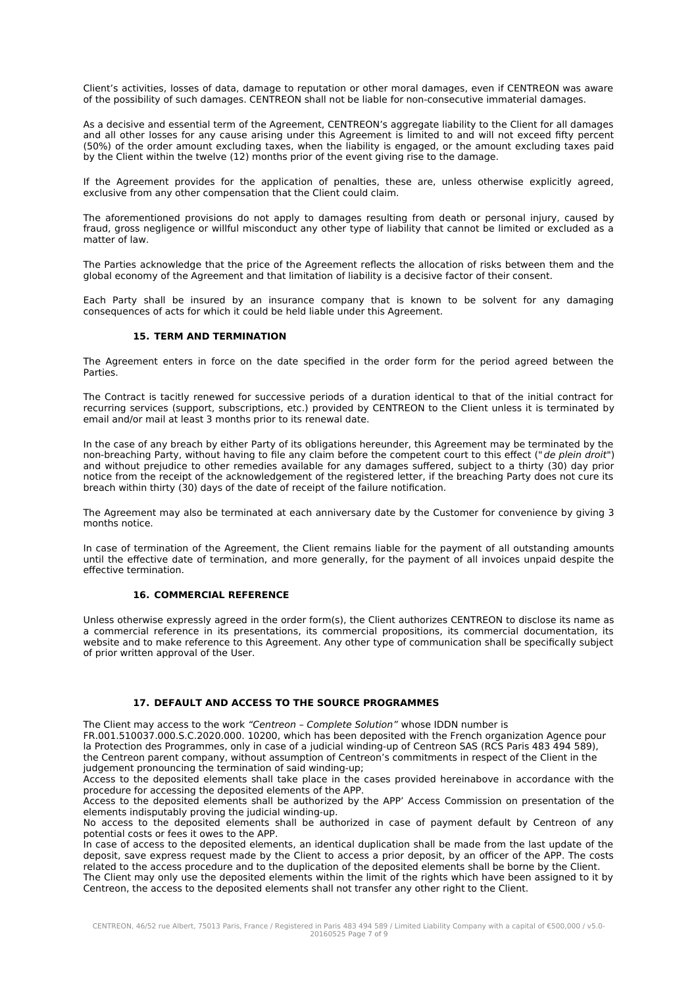Client's activities, losses of data, damage to reputation or other moral damages, even if CENTREON was aware of the possibility of such damages. CENTREON shall not be liable for non-consecutive immaterial damages.

As a decisive and essential term of the Agreement, CENTREON's aggregate liability to the Client for all damages and all other losses for any cause arising under this Agreement is limited to and will not exceed fifty percent (50%) of the order amount excluding taxes, when the liability is engaged, or the amount excluding taxes paid by the Client within the twelve (12) months prior of the event giving rise to the damage.

If the Agreement provides for the application of penalties, these are, unless otherwise explicitly agreed, exclusive from any other compensation that the Client could claim.

The aforementioned provisions do not apply to damages resulting from death or personal injury, caused by fraud, gross negligence or willful misconduct any other type of liability that cannot be limited or excluded as a matter of law.

The Parties acknowledge that the price of the Agreement reflects the allocation of risks between them and the global economy of the Agreement and that limitation of liability is a decisive factor of their consent.

Each Party shall be insured by an insurance company that is known to be solvent for any damaging consequences of acts for which it could be held liable under this Agreement.

#### **15. TERM AND TERMINATION**

The Agreement enters in force on the date specified in the order form for the period agreed between the Parties.

The Contract is tacitly renewed for successive periods of a duration identical to that of the initial contract for recurring services (support, subscriptions, etc.) provided by CENTREON to the Client unless it is terminated by email and/or mail at least 3 months prior to its renewal date.

In the case of any breach by either Party of its obligations hereunder, this Agreement may be terminated by the non-breaching Party, without having to file any claim before the competent court to this effect ("de plein droit") and without prejudice to other remedies available for any damages suffered, subject to a thirty (30) day prior notice from the receipt of the acknowledgement of the registered letter, if the breaching Party does not cure its breach within thirty (30) days of the date of receipt of the failure notification.

The Agreement may also be terminated at each anniversary date by the Customer for convenience by giving 3 months notice.

In case of termination of the Agreement, the Client remains liable for the payment of all outstanding amounts until the effective date of termination, and more generally, for the payment of all invoices unpaid despite the effective termination.

## **16. COMMERCIAL REFERENCE**

Unless otherwise expressly agreed in the order form(s), the Client authorizes CENTREON to disclose its name as a commercial reference in its presentations, its commercial propositions, its commercial documentation, its website and to make reference to this Agreement. Any other type of communication shall be specifically subject of prior written approval of the User.

### **17. DEFAULT AND ACCESS TO THE SOURCE PROGRAMMES**

The Client may access to the work "Centreon – Complete Solution" whose IDDN number is

FR.001.510037.000.S.C.2020.000. 10200, which has been deposited with the French organization Agence pour la Protection des Programmes, only in case of a judicial winding-up of Centreon SAS (RCS Paris 483 494 589), the Centreon parent company, without assumption of Centreon's commitments in respect of the Client in the judgement pronouncing the termination of said winding-up;

Access to the deposited elements shall take place in the cases provided hereinabove in accordance with the procedure for accessing the deposited elements of the APP.

Access to the deposited elements shall be authorized by the APP' Access Commission on presentation of the elements indisputably proving the judicial winding-up.

No access to the deposited elements shall be authorized in case of payment default by Centreon of any potential costs or fees it owes to the APP.

In case of access to the deposited elements, an identical duplication shall be made from the last update of the deposit, save express request made by the Client to access a prior deposit, by an officer of the APP. The costs related to the access procedure and to the duplication of the deposited elements shall be borne by the Client. The Client may only use the deposited elements within the limit of the rights which have been assigned to it by Centreon, the access to the deposited elements shall not transfer any other right to the Client.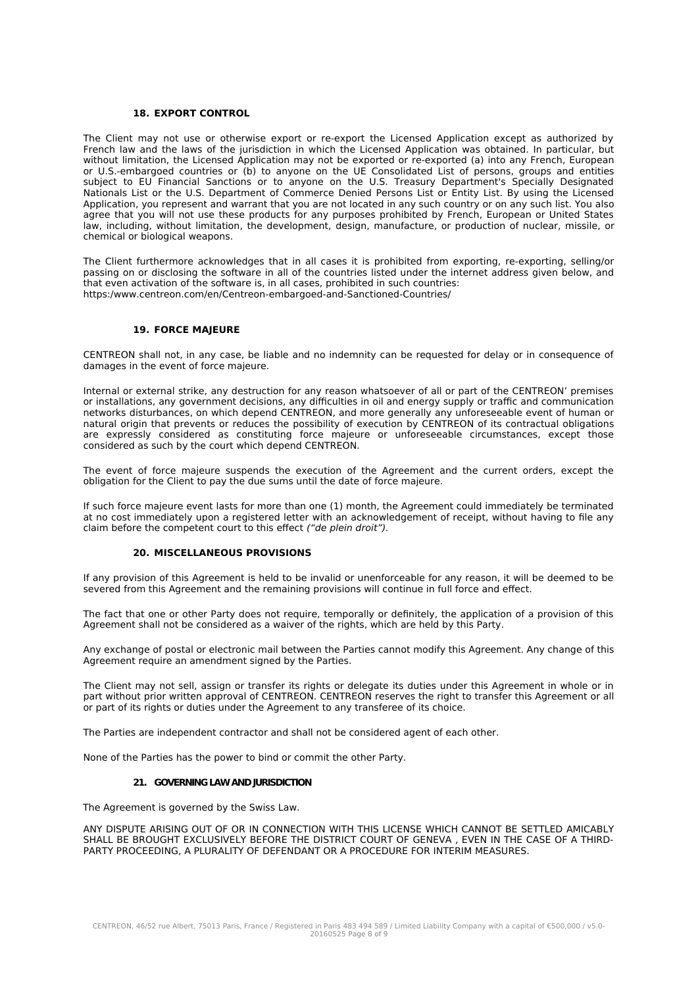### **18. EXPORT CONTROL**

The Client may not use or otherwise export or re-export the Licensed Application except as authorized by French law and the laws of the jurisdiction in which the Licensed Application was obtained. In particular, but without limitation, the Licensed Application may not be exported or re-exported (a) into any French, European or U.S.-embargoed countries or (b) to anyone on the UE Consolidated List of persons, groups and entities subject to EU Financial Sanctions or to anyone on the U.S. Treasury Department's Specially Designated Nationals List or the U.S. Department of Commerce Denied Persons List or Entity List. By using the Licensed Application, you represent and warrant that you are not located in any such country or on any such list. You also agree that you will not use these products for any purposes prohibited by French, European or United States law, including, without limitation, the development, design, manufacture, or production of nuclear, missile, or chemical or biological weapons.

The Client furthermore acknowledges that in all cases it is prohibited from exporting, re-exporting, selling/or passing on or disclosing the software in all of the countries listed under the internet address given below, and that even activation of the software is, in all cases, prohibited in such countries: https:/www.centreon.com/en/Centreon-embargoed-and-Sanctioned-Countries/

## **19. FORCE MAJEURE**

CENTREON shall not, in any case, be liable and no indemnity can be requested for delay or in consequence of damages in the event of force majeure.

Internal or external strike, any destruction for any reason whatsoever of all or part of the CENTREON' premises or installations, any government decisions, any difficulties in oil and energy supply or traffic and communication networks disturbances, on which depend CENTREON, and more generally any unforeseeable event of human or natural origin that prevents or reduces the possibility of execution by CENTREON of its contractual obligations are expressly considered as constituting force majeure or unforeseeable circumstances, except those considered as such by the court which depend CENTREON.

The event of force majeure suspends the execution of the Agreement and the current orders, except the obligation for the Client to pay the due sums until the date of force majeure.

If such force majeure event lasts for more than one (1) month, the Agreement could immediately be terminated at no cost immediately upon a registered letter with an acknowledgement of receipt, without having to file any claim before the competent court to this effect ("de plein droit").

#### **20. MISCELLANEOUS PROVISIONS**

If any provision of this Agreement is held to be invalid or unenforceable for any reason, it will be deemed to be severed from this Agreement and the remaining provisions will continue in full force and effect.

The fact that one or other Party does not require, temporally or definitely, the application of a provision of this Agreement shall not be considered as a waiver of the rights, which are held by this Party.

Any exchange of postal or electronic mail between the Parties cannot modify this Agreement. Any change of this Agreement require an amendment signed by the Parties.

The Client may not sell, assign or transfer its rights or delegate its duties under this Agreement in whole or in part without prior written approval of CENTREON. CENTREON reserves the right to transfer this Agreement or all or part of its rights or duties under the Agreement to any transferee of its choice.

The Parties are independent contractor and shall not be considered agent of each other.

None of the Parties has the power to bind or commit the other Party.

#### **21. GOVERNING LAW AND JURISDICTION**

The Agreement is governed by the Swiss Law.

ANY DISPUTE ARISING OUT OF OR IN CONNECTION WITH THIS LICENSE WHICH CANNOT BE SETTLED AMICABLY SHALL BE BROUGHT EXCLUSIVELY BEFORE THE DISTRICT COURT OF GENEVA , EVEN IN THE CASE OF A THIRD-PARTY PROCEEDING, A PLURALITY OF DEFENDANT OR A PROCEDURE FOR INTERIM MEASURES.